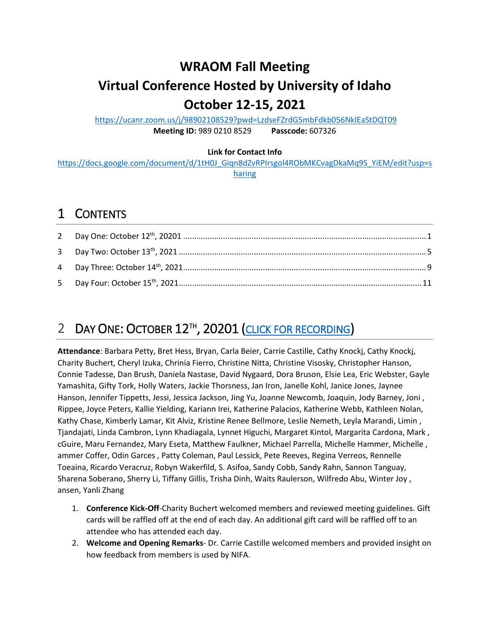# **WRAOM Fall Meeting**

# **Virtual Conference Hosted by University of Idaho October 12-15, 2021**

<https://ucanr.zoom.us/j/98902108529?pwd=LzdseFZrdG5mbFdkb056NklEaStDQT09> **Meeting ID:** 989 0210 8529 **Passcode:** 607326

#### **Link for Contact Info**

[https://docs.google.com/document/d/1tH0J\\_Giqn8dZvRPIrsgol4RObMKCvagDkaMq9S\\_YiEM/edit?usp=s](https://docs.google.com/document/d/1tH0J_Giqn8dZvRPIrsgol4RObMKCvagDkaMq9S_YiEM/edit?usp=sharing) [haring](https://docs.google.com/document/d/1tH0J_Giqn8dZvRPIrsgol4RObMKCvagDkaMq9S_YiEM/edit?usp=sharing)

# 1 CONTENTS

# <span id="page-0-0"></span>2 DAY ONE: OCTOBER 12<sup>TH</sup>, 20201 [\(CLICK FOR RECORDING\)](https://youtu.be/L54izd4wA2s)

**Attendance**: Barbara Petty, Bret Hess, Bryan, Carla Beier, Carrie Castille, Cathy Knockj, Cathy Knockj, Charity Buchert, Cheryl Izuka, Chrinia Fierro, Christine Nitta, Christine Visosky, Christopher Hanson, Connie Tadesse, Dan Brush, Daniela Nastase, David Nygaard, Dora Bruson, Elsie Lea, Eric Webster, Gayle Yamashita, Gifty Tork, Holly Waters, Jackie Thorsness, Jan Iron, Janelle Kohl, Janice Jones, Jaynee Hanson, Jennifer Tippetts, Jessi, Jessica Jackson, Jing Yu, Joanne Newcomb, Joaquin, Jody Barney, Joni , Rippee, Joyce Peters, Kallie Yielding, Kariann Irei, Katherine Palacios, Katherine Webb, Kathleen Nolan, Kathy Chase, Kimberly Lamar, Kit Alviz, Kristine Renee Bellmore, Leslie Nemeth, Leyla Marandi, Limin , Tjandajati, Linda Cambron, Lynn Khadiagala, Lynnet Higuchi, Margaret Kintol, Margarita Cardona, Mark , cGuire, Maru Fernandez, Mary Eseta, Matthew Faulkner, Michael Parrella, Michelle Hammer, Michelle , ammer Coffer, Odin Garces , Patty Coleman, Paul Lessick, Pete Reeves, Regina Verreos, Rennelle Toeaina, Ricardo Veracruz, Robyn Wakerfild, S. Asifoa, Sandy Cobb, Sandy Rahn, Sannon Tanguay, Sharena Soberano, Sherry Li, Tiffany Gillis, Trisha Dinh, Waits Raulerson, Wilfredo Abu, Winter Joy , ansen, Yanli Zhang

- 1. **Conference Kick-Off**-Charity Buchert welcomed members and reviewed meeting guidelines. Gift cards will be raffled off at the end of each day. An additional gift card will be raffled off to an attendee who has attended each day.
- 2. **Welcome and Opening Remarks** Dr. Carrie Castille welcomed members and provided insight on how feedback from members is used by NIFA.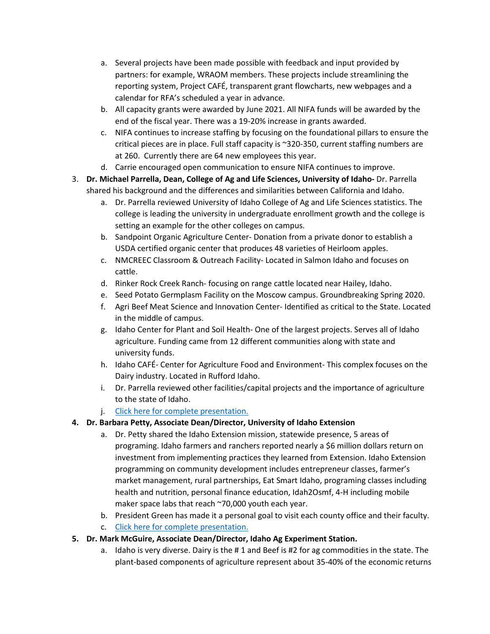- a. Several projects have been made possible with feedback and input provided by partners: for example, WRAOM members. These projects include streamlining the reporting system, Project CAFÉ, transparent grant flowcharts, new webpages and a calendar for RFA's scheduled a year in advance.
- b. All capacity grants were awarded by June 2021. All NIFA funds will be awarded by the end of the fiscal year. There was a 19-20% increase in grants awarded.
- c. NIFA continues to increase staffing by focusing on the foundational pillars to ensure the critical pieces are in place. Full staff capacity is ~320-350, current staffing numbers are at 260. Currently there are 64 new employees this year.
- d. Carrie encouraged open communication to ensure NIFA continues to improve.
- 3. **Dr. Michael Parrella, Dean, College of Ag and Life Sciences, University of Idaho-** Dr. Parrella shared his background and the differences and similarities between California and Idaho.
	- a. Dr. Parrella reviewed University of Idaho College of Ag and Life Sciences statistics. The college is leading the university in undergraduate enrollment growth and the college is setting an example for the other colleges on campus.
	- b. Sandpoint Organic Agriculture Center- Donation from a private donor to establish a USDA certified organic center that produces 48 varieties of Heirloom apples.
	- c. NMCREEC Classroom & Outreach Facility- Located in Salmon Idaho and focuses on cattle.
	- d. Rinker Rock Creek Ranch- focusing on range cattle located near Hailey, Idaho.
	- e. Seed Potato Germplasm Facility on the Moscow campus. Groundbreaking Spring 2020.
	- f. Agri Beef Meat Science and Innovation Center- Identified as critical to the State. Located in the middle of campus.
	- g. Idaho Center for Plant and Soil Health- One of the largest projects. Serves all of Idaho agriculture. Funding came from 12 different communities along with state and university funds.
	- h. Idaho CAFÉ- Center for Agriculture Food and Environment- This complex focuses on the Dairy industry. Located in Rufford Idaho.
	- i. Dr. Parrella reviewed other facilities/capital projects and the importance of agriculture to the state of Idaho.
	- j. [Click here for complete presentation.](https://ucdavis.box.com/s/n7ys9anlkqzqtx2ghff2iw7kvcnlce7x)

# **4. Dr. Barbara Petty, Associate Dean/Director, University of Idaho Extension**

- a. Dr. Petty shared the Idaho Extension mission, statewide presence, 5 areas of programing. Idaho farmers and ranchers reported nearly a \$6 million dollars return on investment from implementing practices they learned from Extension. Idaho Extension programming on community development includes entrepreneur classes, farmer's market management, rural partnerships, Eat Smart Idaho, programing classes including health and nutrition, personal finance education, Idah2Osmf, 4-H including mobile maker space labs that reach ~70,000 youth each year.
- b. President Green has made it a personal goal to visit each county office and their faculty.
- c. [Click here for complete presentation.](https://ucdavis.box.com/s/s8jn8goqxsvmnmwpvecu5m63igzbwkbp)

### **5. Dr. Mark McGuire, Associate Dean/Director, Idaho Ag Experiment Station.**

a. Idaho is very diverse. Dairy is the # 1 and Beef is #2 for ag commodities in the state. The plant-based components of agriculture represent about 35-40% of the economic returns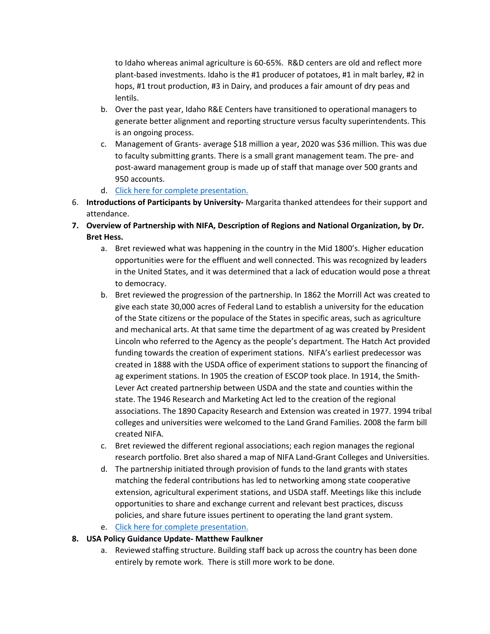to Idaho whereas animal agriculture is 60-65%. R&D centers are old and reflect more plant-based investments. Idaho is the #1 producer of potatoes, #1 in malt barley, #2 in hops, #1 trout production, #3 in Dairy, and produces a fair amount of dry peas and lentils.

- b. Over the past year, Idaho R&E Centers have transitioned to operational managers to generate better alignment and reporting structure versus faculty superintendents. This is an ongoing process.
- c. Management of Grants- average \$18 million a year, 2020 was \$36 million. This was due to faculty submitting grants. There is a small grant management team. The pre- and post-award management group is made up of staff that manage over 500 grants and 950 accounts.
- d. [Click here for complete presentation.](https://ucdavis.box.com/s/ljvzd5v95w3yz98qddppkeyg0j6dztzj)
- 6. **Introductions of Participants by University-** Margarita thanked attendees for their support and attendance.
- **7. Overview of Partnership with NIFA, Description of Regions and National Organization, by Dr. Bret Hess.** 
	- a. Bret reviewed what was happening in the country in the Mid 1800's. Higher education opportunities were for the effluent and well connected. This was recognized by leaders in the United States, and it was determined that a lack of education would pose a threat to democracy.
	- b. Bret reviewed the progression of the partnership. In 1862 the Morrill Act was created to give each state 30,000 acres of Federal Land to establish a university for the education of the State citizens or the populace of the States in specific areas, such as agriculture and mechanical arts. At that same time the department of ag was created by President Lincoln who referred to the Agency as the people's department. The Hatch Act provided funding towards the creation of experiment stations. NIFA's earliest predecessor was created in 1888 with the USDA office of experiment stations to support the financing of ag experiment stations. In 1905 the creation of ESCOP took place. In 1914, the Smith-Lever Act created partnership between USDA and the state and counties within the state. The 1946 Research and Marketing Act led to the creation of the regional associations. The 1890 Capacity Research and Extension was created in 1977. 1994 tribal colleges and universities were welcomed to the Land Grand Families. 2008 the farm bill created NIFA.
	- c. Bret reviewed the different regional associations; each region manages the regional research portfolio. Bret also shared a map of NIFA Land-Grant Colleges and Universities.
	- d. The partnership initiated through provision of funds to the land grants with states matching the federal contributions has led to networking among state cooperative extension, agricultural experiment stations, and USDA staff. Meetings like this include opportunities to share and exchange current and relevant best practices, discuss policies, and share future issues pertinent to operating the land grant system.
	- e. Click here for complete presentation.

### **8. USA Policy Guidance Update- Matthew Faulkner**

a. Reviewed staffing structure. Building staff back up across the country has been done entirely by remote work. There is still more work to be done.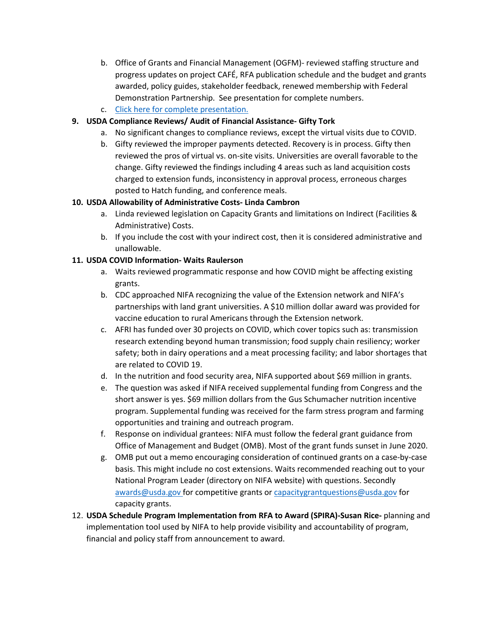- b. Office of Grants and Financial Management (OGFM)- reviewed staffing structure and progress updates on project CAFÉ, RFA publication schedule and the budget and grants awarded, policy guides, stakeholder feedback, renewed membership with Federal Demonstration Partnership. See presentation for complete numbers.
- c. [Click here for complete presentation.](https://ucdavis.box.com/s/wxiynfpbn7xcc5n18wd3h7bgczqb7gar)

## **9. USDA Compliance Reviews/ Audit of Financial Assistance- Gifty Tork**

- a. No significant changes to compliance reviews, except the virtual visits due to COVID.
- b. Gifty reviewed the improper payments detected. Recovery is in process. Gifty then reviewed the pros of virtual vs. on-site visits. Universities are overall favorable to the change. Gifty reviewed the findings including 4 areas such as land acquisition costs charged to extension funds, inconsistency in approval process, erroneous charges posted to Hatch funding, and conference meals.

### **10. USDA Allowability of Administrative Costs- Linda Cambron**

- a. Linda reviewed legislation on Capacity Grants and limitations on Indirect (Facilities & Administrative) Costs.
- b. If you include the cost with your indirect cost, then it is considered administrative and unallowable.

### **11. USDA COVID Information- Waits Raulerson**

- a. Waits reviewed programmatic response and how COVID might be affecting existing grants.
- b. CDC approached NIFA recognizing the value of the Extension network and NIFA's partnerships with land grant universities. A \$10 million dollar award was provided for vaccine education to rural Americans through the Extension network.
- c. AFRI has funded over 30 projects on COVID, which cover topics such as: transmission research extending beyond human transmission; food supply chain resiliency; worker safety; both in dairy operations and a meat processing facility; and labor shortages that are related to COVID 19.
- d. In the nutrition and food security area, NIFA supported about \$69 million in grants.
- e. The question was asked if NIFA received supplemental funding from Congress and the short answer is yes. \$69 million dollars from the Gus Schumacher nutrition incentive program. Supplemental funding was received for the farm stress program and farming opportunities and training and outreach program.
- f. Response on individual grantees: NIFA must follow the federal grant guidance from Office of Management and Budget (OMB). Most of the grant funds sunset in June 2020.
- g. OMB put out a memo encouraging consideration of continued grants on a case-by-case basis. This might include no cost extensions. Waits recommended reaching out to your National Program Leader (directory on NIFA website) with questions. Secondly [awards@usda.gov f](mailto:awards@usda.gov)or competitive grants o[r capacitygrantquestions@usda.gov](mailto:capacitygrantquestions@usda.gov) for capacity grants.
- 12. **USDA Schedule Program Implementation from RFA to Award (SPIRA)-Susan Rice-** planning and implementation tool used by NIFA to help provide visibility and accountability of program, financial and policy staff from announcement to award.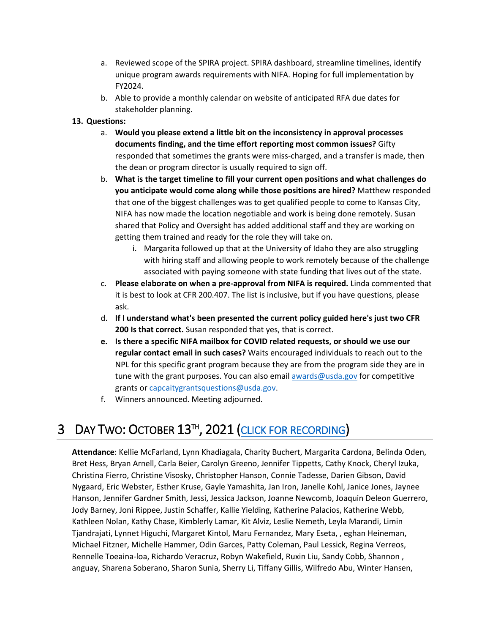- a. Reviewed scope of the SPIRA project. SPIRA dashboard, streamline timelines, identify unique program awards requirements with NIFA. Hoping for full implementation by FY2024.
- b. Able to provide a monthly calendar on website of anticipated RFA due dates for stakeholder planning.

#### **13. Questions:**

- a. **Would you please extend a little bit on the inconsistency in approval processes documents finding, and the time effort reporting most common issues?** Gifty responded that sometimes the grants were miss-charged, and a transfer is made, then the dean or program director is usually required to sign off.
- b. **What is the target timeline to fill your current open positions and what challenges do you anticipate would come along while those positions are hired?** Matthew responded that one of the biggest challenges was to get qualified people to come to Kansas City, NIFA has now made the location negotiable and work is being done remotely. Susan shared that Policy and Oversight has added additional staff and they are working on getting them trained and ready for the role they will take on.
	- i. Margarita followed up that at the University of Idaho they are also struggling with hiring staff and allowing people to work remotely because of the challenge associated with paying someone with state funding that lives out of the state.
- c. **Please elaborate on when a pre-approval from NIFA is required.** Linda commented that it is best to look at CFR 200.407. The list is inclusive, but if you have questions, please ask.
- d. **If I understand what's been presented the current policy guided here's just two CFR 200 Is that correct.** Susan responded that yes, that is correct.
- **e. Is there a specific NIFA mailbox for COVID related requests, or should we use our regular contact email in such cases?** Waits encouraged individuals to reach out to the NPL for this specific grant program because they are from the program side they are in tune with the grant purposes. You can also email awards @usda.gov for competitive grants o[r capcaitygrantsquestions@usda.gov.](mailto:capcaitygrantsquestions@usda.gov)
- f. Winners announced. Meeting adjourned.

# <span id="page-4-0"></span>3 DAY TWO: OCTOBER 13<sup>TH</sup>, 2021 [\(CLICK FOR RECORDING\)](https://youtu.be/HFH4f8XFQbI)

**Attendance**: Kellie McFarland, Lynn Khadiagala, Charity Buchert, Margarita Cardona, Belinda Oden, Bret Hess, Bryan Arnell, Carla Beier, Carolyn Greeno, Jennifer Tippetts, Cathy Knock, Cheryl Izuka, Christina Fierro, Christine Visosky, Christopher Hanson, Connie Tadesse, Darien Gibson, David Nygaard, Eric Webster, Esther Kruse, Gayle Yamashita, Jan Iron, Janelle Kohl, Janice Jones, Jaynee Hanson, Jennifer Gardner Smith, Jessi, Jessica Jackson, Joanne Newcomb, Joaquin Deleon Guerrero, Jody Barney, Joni Rippee, Justin Schaffer, Kallie Yielding, Katherine Palacios, Katherine Webb, Kathleen Nolan, Kathy Chase, Kimblerly Lamar, Kit Alviz, Leslie Nemeth, Leyla Marandi, Limin Tjandrajati, Lynnet Higuchi, Margaret Kintol, Maru Fernandez, Mary Eseta, , eghan Heineman, Michael Fitzner, Michelle Hammer, Odin Garces, Patty Coleman, Paul Lessick, Regina Verreos, Rennelle Toeaina-loa, Richardo Veracruz, Robyn Wakefield, Ruxin Liu, Sandy Cobb, Shannon , anguay, Sharena Soberano, Sharon Sunia, Sherry Li, Tiffany Gillis, Wilfredo Abu, Winter Hansen,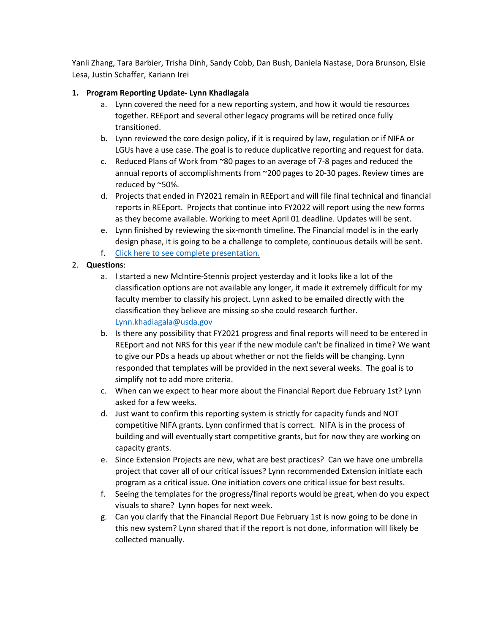Yanli Zhang, Tara Barbier, Trisha Dinh, Sandy Cobb, Dan Bush, Daniela Nastase, Dora Brunson, Elsie Lesa, Justin Schaffer, Kariann Irei

### **1. Program Reporting Update- Lynn Khadiagala**

- a. Lynn covered the need for a new reporting system, and how it would tie resources together. REEport and several other legacy programs will be retired once fully transitioned.
- b. Lynn reviewed the core design policy, if it is required by law, regulation or if NIFA or LGUs have a use case. The goal is to reduce duplicative reporting and request for data.
- c. Reduced Plans of Work from ~80 pages to an average of 7-8 pages and reduced the annual reports of accomplishments from ~200 pages to 20-30 pages. Review times are reduced by ~50%.
- d. Projects that ended in FY2021 remain in REEport and will file final technical and financial reports in REEport. Projects that continue into FY2022 will report using the new forms as they become available. Working to meet April 01 deadline. Updates will be sent.
- e. Lynn finished by reviewing the six-month timeline. The Financial model is in the early design phase, it is going to be a challenge to complete, continuous details will be sent.
- f. [Click here to see complete presentation.](https://ucdavis.box.com/s/zsso4pr9mj2j3hopylf76jbznz0cfc8x)

## 2. **Questions**:

- a. I started a new McIntire-Stennis project yesterday and it looks like a lot of the classification options are not available any longer, it made it extremely difficult for my faculty member to classify his project. Lynn asked to be emailed directly with the classification they believe are missing so she could research further. [Lynn.khadiagala@usda.gov](mailto:Lynn.khadiagala@usda.gov)
- b. Is there any possibility that FY2021 progress and final reports will need to be entered in REEport and not NRS for this year if the new module can't be finalized in time? We want to give our PDs a heads up about whether or not the fields will be changing. Lynn responded that templates will be provided in the next several weeks. The goal is to simplify not to add more criteria.
- c. When can we expect to hear more about the Financial Report due February 1st? Lynn asked for a few weeks.
- d. Just want to confirm this reporting system is strictly for capacity funds and NOT competitive NIFA grants. Lynn confirmed that is correct. NIFA is in the process of building and will eventually start competitive grants, but for now they are working on capacity grants.
- e. Since Extension Projects are new, what are best practices? Can we have one umbrella project that cover all of our critical issues? Lynn recommended Extension initiate each program as a critical issue. One initiation covers one critical issue for best results.
- f. Seeing the templates for the progress/final reports would be great, when do you expect visuals to share? Lynn hopes for next week.
- g. Can you clarify that the Financial Report Due February 1st is now going to be done in this new system? Lynn shared that if the report is not done, information will likely be collected manually.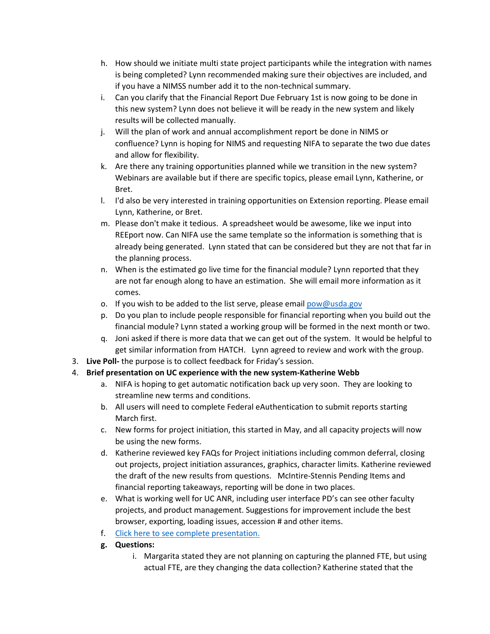- h. How should we initiate multi state project participants while the integration with names is being completed? Lynn recommended making sure their objectives are included, and if you have a NIMSS number add it to the non-technical summary.
- i. Can you clarify that the Financial Report Due February 1st is now going to be done in this new system? Lynn does not believe it will be ready in the new system and likely results will be collected manually.
- j. Will the plan of work and annual accomplishment report be done in NIMS or confluence? Lynn is hoping for NIMS and requesting NIFA to separate the two due dates and allow for flexibility.
- k. Are there any training opportunities planned while we transition in the new system? Webinars are available but if there are specific topics, please email Lynn, Katherine, or Bret.
- l. I'd also be very interested in training opportunities on Extension reporting. Please email Lynn, Katherine, or Bret.
- m. Please don't make it tedious. A spreadsheet would be awesome, like we input into REEport now. Can NIFA use the same template so the information is something that is already being generated. Lynn stated that can be considered but they are not that far in the planning process.
- n. When is the estimated go live time for the financial module? Lynn reported that they are not far enough along to have an estimation. She will email more information as it comes.
- o. If you wish to be added to the list serve, please emai[l pow@usda.gov](mailto:pow@usda.gov)
- p. Do you plan to include people responsible for financial reporting when you build out the financial module? Lynn stated a working group will be formed in the next month or two.
- q. Joni asked if there is more data that we can get out of the system. It would be helpful to get similar information from HATCH. Lynn agreed to review and work with the group.
- 3. **Live Poll-** the purpose is to collect feedback for Friday's session.
- 4. **Brief presentation on UC experience with the new system-Katherine Webb**
	- a. NIFA is hoping to get automatic notification back up very soon. They are looking to streamline new terms and conditions.
	- b. All users will need to complete Federal eAuthentication to submit reports starting March first.
	- c. New forms for project initiation, this started in May, and all capacity projects will now be using the new forms.
	- d. Katherine reviewed key FAQs for Project initiations including common deferral, closing out projects, project initiation assurances, graphics, character limits. Katherine reviewed the draft of the new results from questions. McIntire-Stennis Pending Items and financial reporting takeaways, reporting will be done in two places.
	- e. What is working well for UC ANR, including user interface PD's can see other faculty projects, and product management. Suggestions for improvement include the best browser, exporting, loading issues, accession # and other items.
	- f. [Click here to see complete presentation.](https://ucdavis.box.com/s/vbbspjuq603hkrcgj2nc1ckwth8qnp12)
	- **g. Questions:**
		- i. Margarita stated they are not planning on capturing the planned FTE, but using actual FTE, are they changing the data collection? Katherine stated that the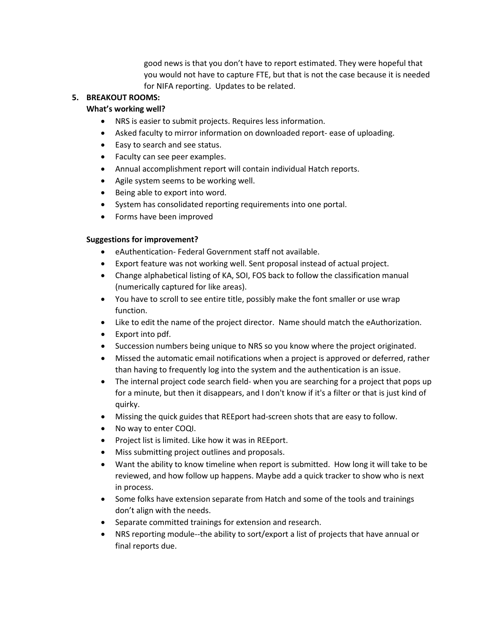good news is that you don't have to report estimated. They were hopeful that you would not have to capture FTE, but that is not the case because it is needed for NIFA reporting. Updates to be related.

#### **5. BREAKOUT ROOMS:**

#### **What's working well?**

- NRS is easier to submit projects. Requires less information.
- Asked faculty to mirror information on downloaded report- ease of uploading.
- Easy to search and see status.
- Faculty can see peer examples.
- Annual accomplishment report will contain individual Hatch reports.
- Agile system seems to be working well.
- Being able to export into word.
- System has consolidated reporting requirements into one portal.
- Forms have been improved

#### **Suggestions for improvement?**

- eAuthentication- Federal Government staff not available.
- Export feature was not working well. Sent proposal instead of actual project.
- Change alphabetical listing of KA, SOI, FOS back to follow the classification manual (numerically captured for like areas).
- You have to scroll to see entire title, possibly make the font smaller or use wrap function.
- Like to edit the name of the project director. Name should match the eAuthorization.
- Export into pdf.
- Succession numbers being unique to NRS so you know where the project originated.
- Missed the automatic email notifications when a project is approved or deferred, rather than having to frequently log into the system and the authentication is an issue.
- The internal project code search field- when you are searching for a project that pops up for a minute, but then it disappears, and I don't know if it's a filter or that is just kind of quirky.
- Missing the quick guides that REEport had-screen shots that are easy to follow.
- No way to enter COQI.
- Project list is limited. Like how it was in REEport.
- Miss submitting project outlines and proposals.
- Want the ability to know timeline when report is submitted. How long it will take to be reviewed, and how follow up happens. Maybe add a quick tracker to show who is next in process.
- Some folks have extension separate from Hatch and some of the tools and trainings don't align with the needs.
- Separate committed trainings for extension and research.
- NRS reporting module--the ability to sort/export a list of projects that have annual or final reports due.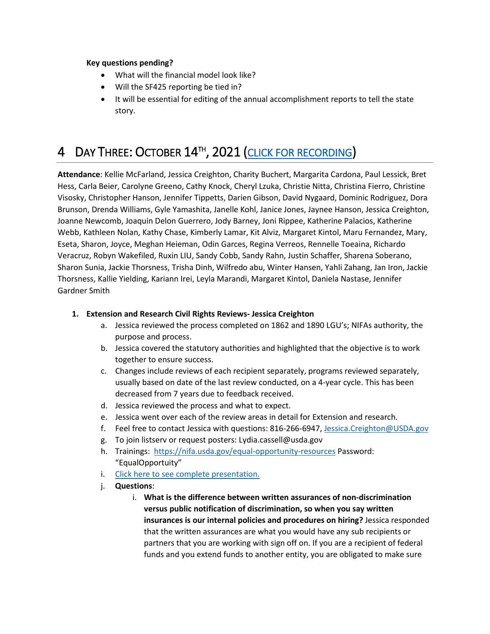#### **Key questions pending?**

- What will the financial model look like?
- Will the SF425 reporting be tied in?
- It will be essential for editing of the annual accomplishment reports to tell the state story.

# <span id="page-8-0"></span>4 DAY THREE: OCTOBER 14<sup>th</sup>, 2021 [\(CLICK FOR RECORDING\)](https://youtu.be/NqlFmE3k62o)

**Attendance**: Kellie McFarland, Jessica Creighton, Charity Buchert, Margarita Cardona, Paul Lessick, Bret Hess, Carla Beier, Carolyne Greeno, Cathy Knock, Cheryl Lzuka, Christie Nitta, Christina Fierro, Christine Visosky, Christopher Hanson, Jennifer Tippetts, Darien Gibson, David Nygaard, Dominic Rodriguez, Dora Brunson, Drenda Williams, Gyle Yamashita, Janelle Kohl, Janice Jones, Jaynee Hanson, Jessica Creighton, Joanne Newcomb, Joaquin Delon Guerrero, Jody Barney, Joni Rippee, Katherine Palacios, Katherine Webb, Kathleen Nolan, Kathy Chase, Kimberly Lamar, Kit Alviz, Margaret Kintol, Maru Fernandez, Mary, Eseta, Sharon, Joyce, Meghan Heieman, Odin Garces, Regina Verreos, Rennelle Toeaina, Richardo Veracruz, Robyn Wakefiled, Ruxin LIU, Sandy Cobb, Sandy Rahn, Justin Schaffer, Sharena Soberano, Sharon Sunia, Jackie Thorsness, Trisha Dinh, Wilfredo abu, Winter Hansen, Yahli Zahang, Jan Iron, Jackie Thorsness, Kallie Yielding, Kariann Irei, Leyla Marandi, Margaret Kintol, Daniela Nastase, Jennifer Gardner Smith

#### **1. Extension and Research Civil Rights Reviews- Jessica Creighton**

- a. Jessica reviewed the process completed on 1862 and 1890 LGU's; NIFAs authority, the purpose and process.
- b. Jessica covered the statutory authorities and highlighted that the objective is to work together to ensure success.
- c. Changes include reviews of each recipient separately, programs reviewed separately, usually based on date of the last review conducted, on a 4-year cycle. This has been decreased from 7 years due to feedback received.
- d. Jessica reviewed the process and what to expect.
- e. Jessica went over each of the review areas in detail for Extension and research.
- f. Feel free to contact Jessica with questions: 816-266-6947, [Jessica.Creighton@USDA.gov](mailto:Jessica.Creighton@USDA.gov)
- g. To join listserv or request posters: Lydia.cassell@usda.gov
- h. Trainings:<https://nifa.usda.gov/equal-opportunity-resources> Password: "EqualOpportuity"
- i. [Click here to see complete presentation.](https://ucdavis.box.com/s/ewl3yxcz4a60mk11xfc23mqrh1rvxl4q)
- j. **Questions**:
	- i. **What is the difference between written assurances of non-discrimination versus public notification of discrimination, so when you say written insurances is our internal policies and procedures on hiring?** Jessica responded that the written assurances are what you would have any sub recipients or partners that you are working with sign off on. If you are a recipient of federal funds and you extend funds to another entity, you are obligated to make sure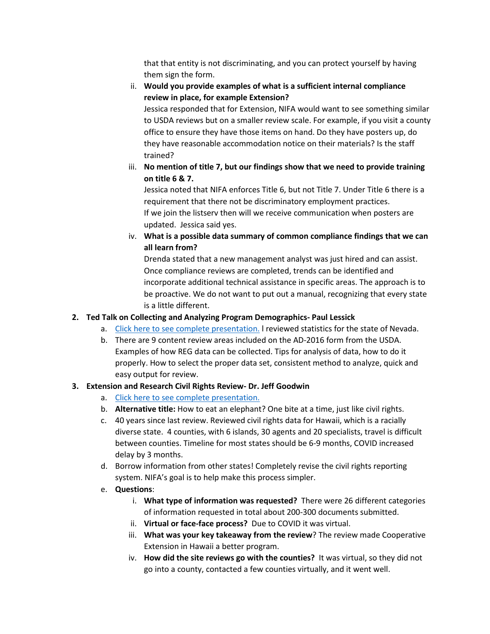that that entity is not discriminating, and you can protect yourself by having them sign the form.

# ii. **Would you provide examples of what is a sufficient internal compliance review in place, for example Extension?**

Jessica responded that for Extension, NIFA would want to see something similar to USDA reviews but on a smaller review scale. For example, if you visit a county office to ensure they have those items on hand. Do they have posters up, do they have reasonable accommodation notice on their materials? Is the staff trained?

# iii. **No mention of title 7, but our findings show that we need to provide training on title 6 & 7.**

Jessica noted that NIFA enforces Title 6, but not Title 7. Under Title 6 there is a requirement that there not be discriminatory employment practices. If we join the listserv then will we receive communication when posters are updated. Jessica said yes.

iv. **What is a possible data summary of common compliance findings that we can all learn from?**

Drenda stated that a new management analyst was just hired and can assist. Once compliance reviews are completed, trends can be identified and incorporate additional technical assistance in specific areas. The approach is to be proactive. We do not want to put out a manual, recognizing that every state is a little different.

# **2. Ted Talk on Collecting and Analyzing Program Demographics- Paul Lessick**

- a. [Click here to see complete presentation.](https://ucdavis.box.com/s/r7zj906ftz48a1vef9k1wig9cy63u3st) l reviewed statistics for the state of Nevada.
- b. There are 9 content review areas included on the AD-2016 form from the USDA. Examples of how REG data can be collected. Tips for analysis of data, how to do it properly. How to select the proper data set, consistent method to analyze, quick and easy output for review.

# **3. Extension and Research Civil Rights Review- Dr. Jeff Goodwin**

- a. [Click here to see complete presentation.](https://ucdavis.box.com/s/opvofun4n73erxqqokf1lu6siv8kq3h0)
- b. **Alternative title:** How to eat an elephant? One bite at a time, just like civil rights.
- c. 40 years since last review. Reviewed civil rights data for Hawaii, which is a racially diverse state. 4 counties, with 6 islands, 30 agents and 20 specialists, travel is difficult between counties. Timeline for most states should be 6-9 months, COVID increased delay by 3 months.
- d. Borrow information from other states! Completely revise the civil rights reporting system. NIFA's goal is to help make this process simpler.
- e. **Questions**:
	- i. **What type of information was requested?** There were 26 different categories of information requested in total about 200-300 documents submitted.
	- ii. **Virtual or face-face process?** Due to COVID it was virtual.
	- iii. **What was your key takeaway from the review**? The review made Cooperative Extension in Hawaii a better program.
	- iv. **How did the site reviews go with the counties?** It was virtual, so they did not go into a county, contacted a few counties virtually, and it went well.